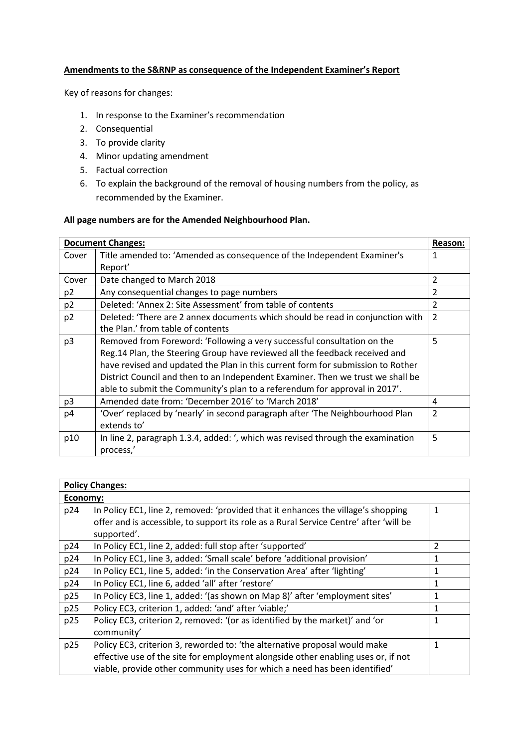## **Amendments to the S&RNP as consequence of the Independent Examiner's Report**

Key of reasons for changes:

- 1. In response to the Examiner's recommendation
- 2. Consequential
- 3. To provide clarity
- 4. Minor updating amendment
- 5. Factual correction
- 6. To explain the background of the removal of housing numbers from the policy, as recommended by the Examiner.

## **All page numbers are for the Amended Neighbourhood Plan.**

|                | <b>Document Changes:</b>                                                        | Reason:        |
|----------------|---------------------------------------------------------------------------------|----------------|
| Cover          | Title amended to: 'Amended as consequence of the Independent Examiner's         | 1              |
|                | Report'                                                                         |                |
| Cover          | Date changed to March 2018                                                      | $\overline{2}$ |
| p <sub>2</sub> | Any consequential changes to page numbers                                       | 2              |
| p <sub>2</sub> | Deleted: 'Annex 2: Site Assessment' from table of contents                      | $\overline{2}$ |
| p <sub>2</sub> | Deleted: 'There are 2 annex documents which should be read in conjunction with  | $\overline{2}$ |
|                | the Plan.' from table of contents                                               |                |
| p <sub>3</sub> | Removed from Foreword: 'Following a very successful consultation on the         | 5              |
|                | Reg.14 Plan, the Steering Group have reviewed all the feedback received and     |                |
|                | have revised and updated the Plan in this current form for submission to Rother |                |
|                | District Council and then to an Independent Examiner. Then we trust we shall be |                |
|                | able to submit the Community's plan to a referendum for approval in 2017'.      |                |
| p <sub>3</sub> | Amended date from: 'December 2016' to 'March 2018'                              | 4              |
| p <sub>4</sub> | 'Over' replaced by 'nearly' in second paragraph after 'The Neighbourhood Plan   | $\overline{2}$ |
|                | extends to'                                                                     |                |
| p10            | In line 2, paragraph 1.3.4, added: ', which was revised through the examination | 5              |
|                | process,'                                                                       |                |

|          | <b>Policy Changes:</b>                                                                 |              |  |
|----------|----------------------------------------------------------------------------------------|--------------|--|
| Economy: |                                                                                        |              |  |
| p24      | In Policy EC1, line 2, removed: 'provided that it enhances the village's shopping      | $\mathbf{1}$ |  |
|          | offer and is accessible, to support its role as a Rural Service Centre' after 'will be |              |  |
|          | supported'.                                                                            |              |  |
| p24      | In Policy EC1, line 2, added: full stop after 'supported'                              | 2            |  |
| p24      | In Policy EC1, line 3, added: 'Small scale' before 'additional provision'              | 1            |  |
| p24      | In Policy EC1, line 5, added: 'in the Conservation Area' after 'lighting'              | 1            |  |
| p24      | In Policy EC1, line 6, added 'all' after 'restore'                                     | 1            |  |
| p25      | In Policy EC3, line 1, added: '(as shown on Map 8)' after 'employment sites'           | 1            |  |
| p25      | Policy EC3, criterion 1, added: 'and' after 'viable;'                                  | 1            |  |
| p25      | Policy EC3, criterion 2, removed: '(or as identified by the market)' and 'or           | 1            |  |
|          | community'                                                                             |              |  |
| p25      | Policy EC3, criterion 3, reworded to: 'the alternative proposal would make             | 1            |  |
|          | effective use of the site for employment alongside other enabling uses or, if not      |              |  |
|          | viable, provide other community uses for which a need has been identified'             |              |  |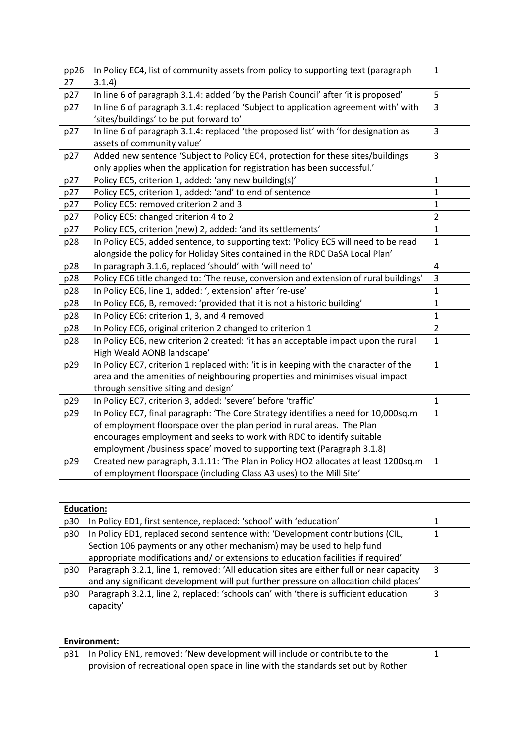| pp26 | In Policy EC4, list of community assets from policy to supporting text (paragraph     | $\mathbf 1$    |
|------|---------------------------------------------------------------------------------------|----------------|
| 27   | 3.1.4)                                                                                |                |
| p27  | In line 6 of paragraph 3.1.4: added 'by the Parish Council' after 'it is proposed'    | 5              |
| p27  | In line 6 of paragraph 3.1.4: replaced 'Subject to application agreement with' with   | 3              |
|      | 'sites/buildings' to be put forward to'                                               |                |
| p27  | In line 6 of paragraph 3.1.4: replaced 'the proposed list' with 'for designation as   | 3              |
|      | assets of community value'                                                            |                |
| p27  | Added new sentence 'Subject to Policy EC4, protection for these sites/buildings       | $\overline{3}$ |
|      | only applies when the application for registration has been successful.'              |                |
| p27  | Policy EC5, criterion 1, added: 'any new building(s)'                                 | $\mathbf{1}$   |
| p27  | Policy EC5, criterion 1, added: 'and' to end of sentence                              | $\mathbf{1}$   |
| p27  | Policy EC5: removed criterion 2 and 3                                                 | $\mathbf{1}$   |
| p27  | Policy EC5: changed criterion 4 to 2                                                  | $\overline{2}$ |
| p27  | Policy EC5, criterion (new) 2, added: 'and its settlements'                           | $\mathbf{1}$   |
| p28  | In Policy EC5, added sentence, to supporting text: 'Policy EC5 will need to be read   | $\mathbf{1}$   |
|      | alongside the policy for Holiday Sites contained in the RDC DaSA Local Plan'          |                |
| p28  | In paragraph 3.1.6, replaced 'should' with 'will need to'                             | 4              |
| p28  | Policy EC6 title changed to: 'The reuse, conversion and extension of rural buildings' | 3              |
| p28  | In Policy EC6, line 1, added: ', extension' after 're-use'                            | $\mathbf{1}$   |
| p28  | In Policy EC6, B, removed: 'provided that it is not a historic building'              | $\mathbf{1}$   |
| p28  | In Policy EC6: criterion 1, 3, and 4 removed                                          | $\mathbf{1}$   |
| p28  | In Policy EC6, original criterion 2 changed to criterion 1                            | $\overline{2}$ |
| p28  | In Policy EC6, new criterion 2 created: 'it has an acceptable impact upon the rural   | $\mathbf{1}$   |
|      | High Weald AONB landscape'                                                            |                |
| p29  | In Policy EC7, criterion 1 replaced with: 'it is in keeping with the character of the | $\mathbf 1$    |
|      | area and the amenities of neighbouring properties and minimises visual impact         |                |
|      | through sensitive siting and design'                                                  |                |
| p29  | In Policy EC7, criterion 3, added: 'severe' before 'traffic'                          | $\mathbf{1}$   |
| p29  | In Policy EC7, final paragraph: 'The Core Strategy identifies a need for 10,000sq.m   | $\mathbf{1}$   |
|      | of employment floorspace over the plan period in rural areas. The Plan                |                |
|      | encourages employment and seeks to work with RDC to identify suitable                 |                |
|      | employment /business space' moved to supporting text (Paragraph 3.1.8)                |                |
| p29  | Created new paragraph, 3.1.11: 'The Plan in Policy HO2 allocates at least 1200sq.m    | $\mathbf{1}$   |
|      | of employment floorspace (including Class A3 uses) to the Mill Site'                  |                |

| <b>Education:</b> |                                                                                         |   |
|-------------------|-----------------------------------------------------------------------------------------|---|
| p30               | In Policy ED1, first sentence, replaced: 'school' with 'education'                      |   |
| p30               | In Policy ED1, replaced second sentence with: 'Development contributions (CIL,          |   |
|                   | Section 106 payments or any other mechanism) may be used to help fund                   |   |
|                   | appropriate modifications and/ or extensions to education facilities if required'       |   |
| p30               | Paragraph 3.2.1, line 1, removed: 'All education sites are either full or near capacity | 3 |
|                   | and any significant development will put further pressure on allocation child places'   |   |
| p30               | Paragraph 3.2.1, line 2, replaced: 'schools can' with 'there is sufficient education    | 3 |
|                   | capacity'                                                                               |   |

| Environment: |                                                                                   |  |
|--------------|-----------------------------------------------------------------------------------|--|
|              | p31   In Policy EN1, removed: 'New development will include or contribute to the  |  |
|              | provision of recreational open space in line with the standards set out by Rother |  |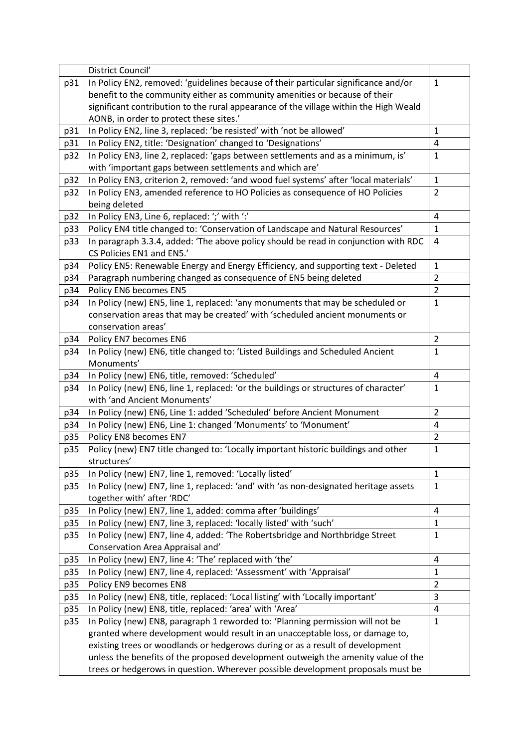|     | District Council'                                                                     |                |
|-----|---------------------------------------------------------------------------------------|----------------|
| p31 | In Policy EN2, removed: 'guidelines because of their particular significance and/or   | $\mathbf{1}$   |
|     | benefit to the community either as community amenities or because of their            |                |
|     | significant contribution to the rural appearance of the village within the High Weald |                |
|     | AONB, in order to protect these sites.'                                               |                |
| p31 | In Policy EN2, line 3, replaced: 'be resisted' with 'not be allowed'                  | 1              |
| p31 | In Policy EN2, title: 'Designation' changed to 'Designations'                         | 4              |
| p32 | In Policy EN3, line 2, replaced: 'gaps between settlements and as a minimum, is'      | $\mathbf{1}$   |
|     | with 'important gaps between settlements and which are'                               |                |
| p32 | In Policy EN3, criterion 2, removed: 'and wood fuel systems' after 'local materials'  | $\mathbf{1}$   |
| p32 | In Policy EN3, amended reference to HO Policies as consequence of HO Policies         | $\overline{2}$ |
|     | being deleted                                                                         |                |
| p32 | In Policy EN3, Line 6, replaced: ';' with ':'                                         | 4              |
| p33 | Policy EN4 title changed to: 'Conservation of Landscape and Natural Resources'        | $\mathbf{1}$   |
| p33 | In paragraph 3.3.4, added: 'The above policy should be read in conjunction with RDC   | 4              |
|     | CS Policies EN1 and EN5.'                                                             |                |
| p34 | Policy EN5: Renewable Energy and Energy Efficiency, and supporting text - Deleted     | 1              |
| p34 | Paragraph numbering changed as consequence of EN5 being deleted                       | $\overline{2}$ |
| p34 | Policy EN6 becomes EN5                                                                | $\overline{2}$ |
| p34 | In Policy (new) EN5, line 1, replaced: 'any monuments that may be scheduled or        | $\mathbf{1}$   |
|     | conservation areas that may be created' with 'scheduled ancient monuments or          |                |
|     | conservation areas'                                                                   |                |
| p34 | Policy EN7 becomes EN6                                                                | $\overline{2}$ |
| p34 | In Policy (new) EN6, title changed to: 'Listed Buildings and Scheduled Ancient        | $\mathbf{1}$   |
|     | Monuments'                                                                            |                |
| p34 | In Policy (new) EN6, title, removed: 'Scheduled'                                      | 4              |
| p34 | In Policy (new) EN6, line 1, replaced: 'or the buildings or structures of character'  | $\mathbf{1}$   |
|     | with 'and Ancient Monuments'                                                          |                |
| p34 | In Policy (new) EN6, Line 1: added 'Scheduled' before Ancient Monument                | $\overline{2}$ |
| p34 | In Policy (new) EN6, Line 1: changed 'Monuments' to 'Monument'                        | 4              |
| p35 | Policy EN8 becomes EN7                                                                | $\overline{2}$ |
| p35 | Policy (new) EN7 title changed to: 'Locally important historic buildings and other    | $\mathbf 1$    |
|     | structures'                                                                           |                |
| p35 | In Policy (new) EN7, line 1, removed: 'Locally listed'                                | $\mathbf 1$    |
| p35 | In Policy (new) EN7, line 1, replaced: 'and' with 'as non-designated heritage assets  | $\mathbf{1}$   |
|     | together with' after 'RDC'                                                            |                |
| p35 | In Policy (new) EN7, line 1, added: comma after 'buildings'                           | $\overline{4}$ |
| p35 | In Policy (new) EN7, line 3, replaced: 'locally listed' with 'such'                   | $\mathbf{1}$   |
| p35 | In Policy (new) EN7, line 4, added: 'The Robertsbridge and Northbridge Street         | $\mathbf{1}$   |
|     | Conservation Area Appraisal and'                                                      |                |
| p35 | In Policy (new) EN7, line 4: 'The' replaced with 'the'                                | 4              |
| p35 | In Policy (new) EN7, line 4, replaced: 'Assessment' with 'Appraisal'                  | $\mathbf 1$    |
| p35 | Policy EN9 becomes EN8                                                                | $\overline{2}$ |
| p35 | In Policy (new) EN8, title, replaced: 'Local listing' with 'Locally important'        | 3              |
| p35 | In Policy (new) EN8, title, replaced: 'area' with 'Area'                              | $\overline{4}$ |
| p35 | In Policy (new) EN8, paragraph 1 reworded to: 'Planning permission will not be        | $\mathbf{1}$   |
|     | granted where development would result in an unacceptable loss, or damage to,         |                |
|     | existing trees or woodlands or hedgerows during or as a result of development         |                |
|     | unless the benefits of the proposed development outweigh the amenity value of the     |                |
|     | trees or hedgerows in question. Wherever possible development proposals must be       |                |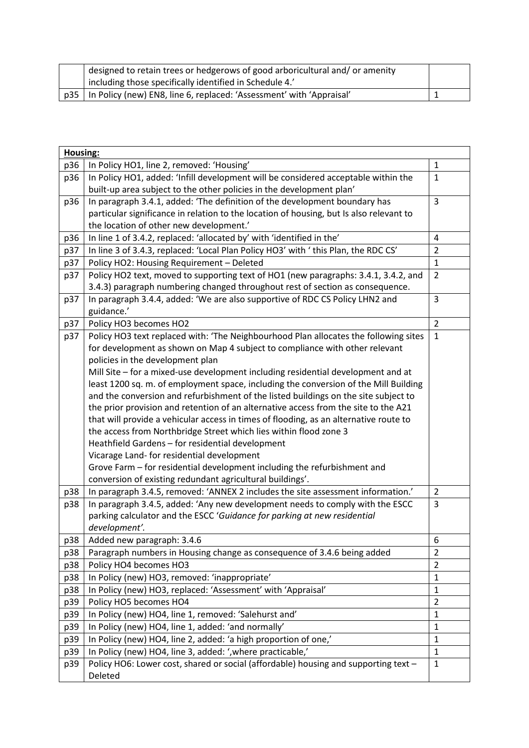|  | designed to retain trees or hedgerows of good arboricultural and/or amenity |  |
|--|-----------------------------------------------------------------------------|--|
|  | including those specifically identified in Schedule 4.'                     |  |
|  | p35   In Policy (new) EN8, line 6, replaced: 'Assessment' with 'Appraisal'  |  |

|     | Housing:                                                                                |                |  |
|-----|-----------------------------------------------------------------------------------------|----------------|--|
| p36 | In Policy HO1, line 2, removed: 'Housing'                                               | $\mathbf{1}$   |  |
| p36 | In Policy HO1, added: 'Infill development will be considered acceptable within the      | $\mathbf{1}$   |  |
|     | built-up area subject to the other policies in the development plan'                    |                |  |
| p36 | In paragraph 3.4.1, added: 'The definition of the development boundary has              | $\overline{3}$ |  |
|     | particular significance in relation to the location of housing, but Is also relevant to |                |  |
|     | the location of other new development.'                                                 |                |  |
| p36 | In line 1 of 3.4.2, replaced: 'allocated by' with 'identified in the'                   | 4              |  |
| p37 | In line 3 of 3.4.3, replaced: 'Local Plan Policy HO3' with ' this Plan, the RDC CS'     | $\overline{2}$ |  |
| p37 | Policy HO2: Housing Requirement - Deleted                                               | $\mathbf{1}$   |  |
| p37 | Policy HO2 text, moved to supporting text of HO1 (new paragraphs: 3.4.1, 3.4.2, and     | $\overline{2}$ |  |
|     | 3.4.3) paragraph numbering changed throughout rest of section as consequence.           |                |  |
| p37 | In paragraph 3.4.4, added: 'We are also supportive of RDC CS Policy LHN2 and            | 3              |  |
|     | guidance.'                                                                              |                |  |
| p37 | Policy HO3 becomes HO2                                                                  | $\overline{2}$ |  |
| p37 | Policy HO3 text replaced with: 'The Neighbourhood Plan allocates the following sites    | $\mathbf{1}$   |  |
|     | for development as shown on Map 4 subject to compliance with other relevant             |                |  |
|     | policies in the development plan                                                        |                |  |
|     | Mill Site - for a mixed-use development including residential development and at        |                |  |
|     | least 1200 sq. m. of employment space, including the conversion of the Mill Building    |                |  |
|     | and the conversion and refurbishment of the listed buildings on the site subject to     |                |  |
|     | the prior provision and retention of an alternative access from the site to the A21     |                |  |
|     | that will provide a vehicular access in times of flooding, as an alternative route to   |                |  |
|     | the access from Northbridge Street which lies within flood zone 3                       |                |  |
|     | Heathfield Gardens - for residential development                                        |                |  |
|     | Vicarage Land- for residential development                                              |                |  |
|     | Grove Farm – for residential development including the refurbishment and                |                |  |
|     | conversion of existing redundant agricultural buildings'.                               |                |  |
| p38 | In paragraph 3.4.5, removed: 'ANNEX 2 includes the site assessment information.'        | $\overline{2}$ |  |
| p38 | In paragraph 3.4.5, added: 'Any new development needs to comply with the ESCC           | 3              |  |
|     | parking calculator and the ESCC 'Guidance for parking at new residential                |                |  |
|     | development'.                                                                           |                |  |
| p38 | Added new paragraph: 3.4.6                                                              | 6              |  |
| p38 | Paragraph numbers in Housing change as consequence of 3.4.6 being added                 | $\overline{2}$ |  |
| p38 | Policy HO4 becomes HO3                                                                  | $\overline{2}$ |  |
| p38 | In Policy (new) HO3, removed: 'inappropriate'                                           | $\mathbf{1}$   |  |
| p38 | In Policy (new) HO3, replaced: 'Assessment' with 'Appraisal'                            | $\mathbf{1}$   |  |
| p39 | Policy HO5 becomes HO4                                                                  | $\overline{2}$ |  |
| p39 | In Policy (new) HO4, line 1, removed: 'Salehurst and'                                   | $\mathbf{1}$   |  |
| p39 | In Policy (new) HO4, line 1, added: 'and normally'                                      | $\mathbf{1}$   |  |
| p39 | In Policy (new) HO4, line 2, added: 'a high proportion of one,'                         | $\mathbf{1}$   |  |
| p39 | In Policy (new) HO4, line 3, added: ', where practicable,'                              | $\mathbf{1}$   |  |
| p39 | Policy HO6: Lower cost, shared or social (affordable) housing and supporting text -     | $\mathbf{1}$   |  |
|     | Deleted                                                                                 |                |  |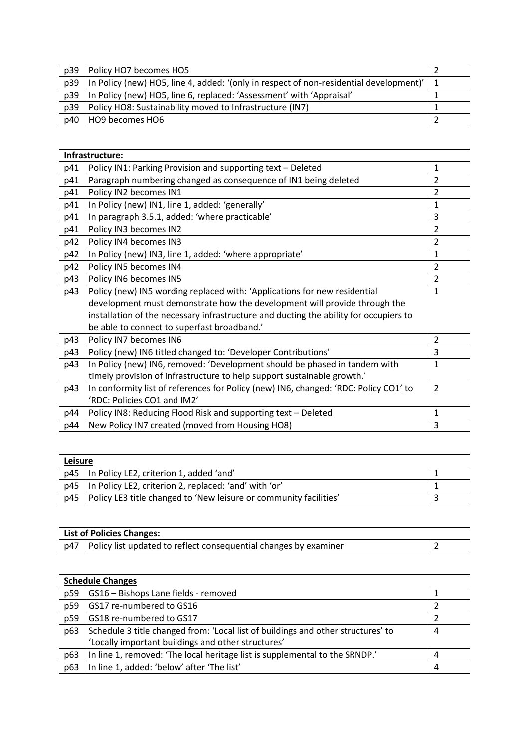| p39 | Policy HO7 becomes HO5                                                                     |  |
|-----|--------------------------------------------------------------------------------------------|--|
| p39 | In Policy (new) HO5, line 4, added: '(only in respect of non-residential development)'   1 |  |
| p39 | In Policy (new) HO5, line 6, replaced: 'Assessment' with 'Appraisal'                       |  |
| p39 | Policy HO8: Sustainability moved to Infrastructure (IN7)                                   |  |
| p40 | HO9 becomes HO6                                                                            |  |

|     | Infrastructure:                                                                       |                |
|-----|---------------------------------------------------------------------------------------|----------------|
| p41 | Policy IN1: Parking Provision and supporting text - Deleted                           | $\mathbf{1}$   |
| p41 | Paragraph numbering changed as consequence of IN1 being deleted                       | $\overline{2}$ |
| p41 | Policy IN2 becomes IN1                                                                | $\overline{2}$ |
| p41 | In Policy (new) IN1, line 1, added: 'generally'                                       | $\mathbf{1}$   |
| p41 | In paragraph 3.5.1, added: 'where practicable'                                        | 3              |
| p41 | Policy IN3 becomes IN2                                                                | $\overline{2}$ |
| p42 | Policy IN4 becomes IN3                                                                | $\overline{2}$ |
| p42 | In Policy (new) IN3, line 1, added: 'where appropriate'                               | $\mathbf{1}$   |
| p42 | Policy IN5 becomes IN4                                                                | $\overline{2}$ |
| p43 | Policy IN6 becomes IN5                                                                | $\overline{2}$ |
| p43 | Policy (new) IN5 wording replaced with: 'Applications for new residential             | 1              |
|     | development must demonstrate how the development will provide through the             |                |
|     | installation of the necessary infrastructure and ducting the ability for occupiers to |                |
|     | be able to connect to superfast broadband.'                                           |                |
| p43 | Policy IN7 becomes IN6                                                                | $\overline{2}$ |
| p43 | Policy (new) IN6 titled changed to: 'Developer Contributions'                         | 3              |
| p43 | In Policy (new) IN6, removed: 'Development should be phased in tandem with            | $\mathbf{1}$   |
|     | timely provision of infrastructure to help support sustainable growth.'               |                |
| p43 | In conformity list of references for Policy (new) IN6, changed: 'RDC: Policy CO1' to  | $\overline{2}$ |
|     | 'RDC: Policies CO1 and IM2'                                                           |                |
| p44 | Policy IN8: Reducing Flood Risk and supporting text - Deleted                         | 1              |
| p44 | New Policy IN7 created (moved from Housing HO8)                                       | 3              |

| Leisure |                                                                   |  |
|---------|-------------------------------------------------------------------|--|
|         | p45   In Policy LE2, criterion 1, added 'and'                     |  |
|         | p45   In Policy LE2, criterion 2, replaced: 'and' with 'or'       |  |
| p45     | Policy LE3 title changed to 'New leisure or community facilities' |  |

| <b>List of Policies Changes:</b>                                                   |  |
|------------------------------------------------------------------------------------|--|
| $\mid$ p47 $\mid$ Policy list updated to reflect consequential changes by examiner |  |

| <b>Schedule Changes</b> |                                                                                  |   |
|-------------------------|----------------------------------------------------------------------------------|---|
| p59                     | GS16 - Bishops Lane fields - removed                                             |   |
| p59                     | GS17 re-numbered to GS16                                                         |   |
| p59                     | GS18 re-numbered to GS17                                                         |   |
| p63                     | Schedule 3 title changed from: 'Local list of buildings and other structures' to | 4 |
|                         | 'Locally important buildings and other structures'                               |   |
| p63                     | In line 1, removed: 'The local heritage list is supplemental to the SRNDP.'      | 4 |
| p63                     | In line 1, added: 'below' after 'The list'                                       | 4 |